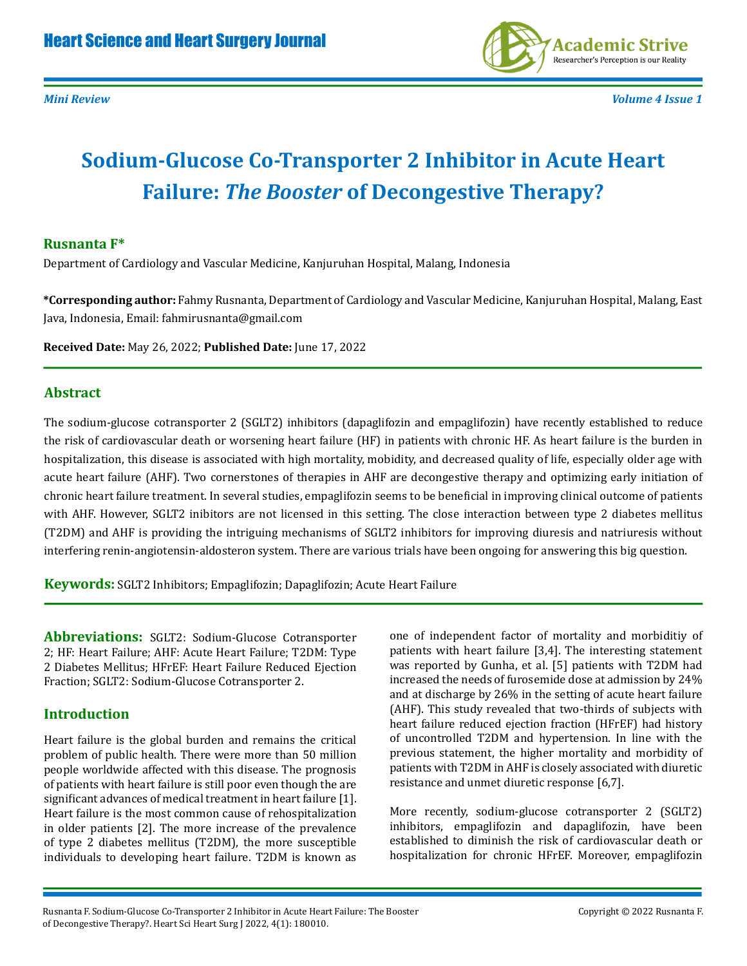

*Mini Review Volume 4 Issue 1*

# **Sodium-Glucose Co-Transporter 2 Inhibitor in Acute Heart Failure:** *The Booster* **of Decongestive Therapy?**

## **Rusnanta F\***

Department of Cardiology and Vascular Medicine, Kanjuruhan Hospital, Malang, Indonesia

**\*Corresponding author:** Fahmy Rusnanta, Department of Cardiology and Vascular Medicine, Kanjuruhan Hospital, Malang, East Java, Indonesia, Email: fahmirusnanta@gmail.com

**Received Date:** May 26, 2022; **Published Date:** June 17, 2022

#### **Abstract**

The sodium-glucose cotransporter 2 (SGLT2) inhibitors (dapaglifozin and empaglifozin) have recently established to reduce the risk of cardiovascular death or worsening heart failure (HF) in patients with chronic HF. As heart failure is the burden in hospitalization, this disease is associated with high mortality, mobidity, and decreased quality of life, especially older age with acute heart failure (AHF). Two cornerstones of therapies in AHF are decongestive therapy and optimizing early initiation of chronic heart failure treatment. In several studies, empaglifozin seems to be beneficial in improving clinical outcome of patients with AHF. However, SGLT2 inibitors are not licensed in this setting. The close interaction between type 2 diabetes mellitus (T2DM) and AHF is providing the intriguing mechanisms of SGLT2 inhibitors for improving diuresis and natriuresis without interfering renin-angiotensin-aldosteron system. There are various trials have been ongoing for answering this big question.

**Keywords:** SGLT2 Inhibitors; Empaglifozin; Dapaglifozin; Acute Heart Failure

**Abbreviations:** SGLT2: Sodium-Glucose Cotransporter 2; HF: Heart Failure; AHF: Acute Heart Failure; T2DM: Type 2 Diabetes Mellitus; HFrEF: Heart Failure Reduced Ejection Fraction; SGLT2: Sodium-Glucose Cotransporter 2.

### **Introduction**

Heart failure is the global burden and remains the critical problem of public health. There were more than 50 million people worldwide affected with this disease. The prognosis of patients with heart failure is still poor even though the are significant advances of medical treatment in heart failure [1]. Heart failure is the most common cause of rehospitalization in older patients [2]. The more increase of the prevalence of type 2 diabetes mellitus (T2DM), the more susceptible individuals to developing heart failure. T2DM is known as

one of independent factor of mortality and morbiditiy of patients with heart failure [3,4]. The interesting statement was reported by Gunha, et al. [5] patients with T2DM had increased the needs of furosemide dose at admission by 24% and at discharge by 26% in the setting of acute heart failure (AHF). This study revealed that two-thirds of subjects with heart failure reduced ejection fraction (HFrEF) had history of uncontrolled T2DM and hypertension. In line with the previous statement, the higher mortality and morbidity of patients with T2DM in AHF is closely associated with diuretic resistance and unmet diuretic response [6,7].

More recently, sodium-glucose cotransporter 2 (SGLT2) inhibitors, empaglifozin and dapaglifozin, have been established to diminish the risk of cardiovascular death or hospitalization for chronic HFrEF. Moreover, empaglifozin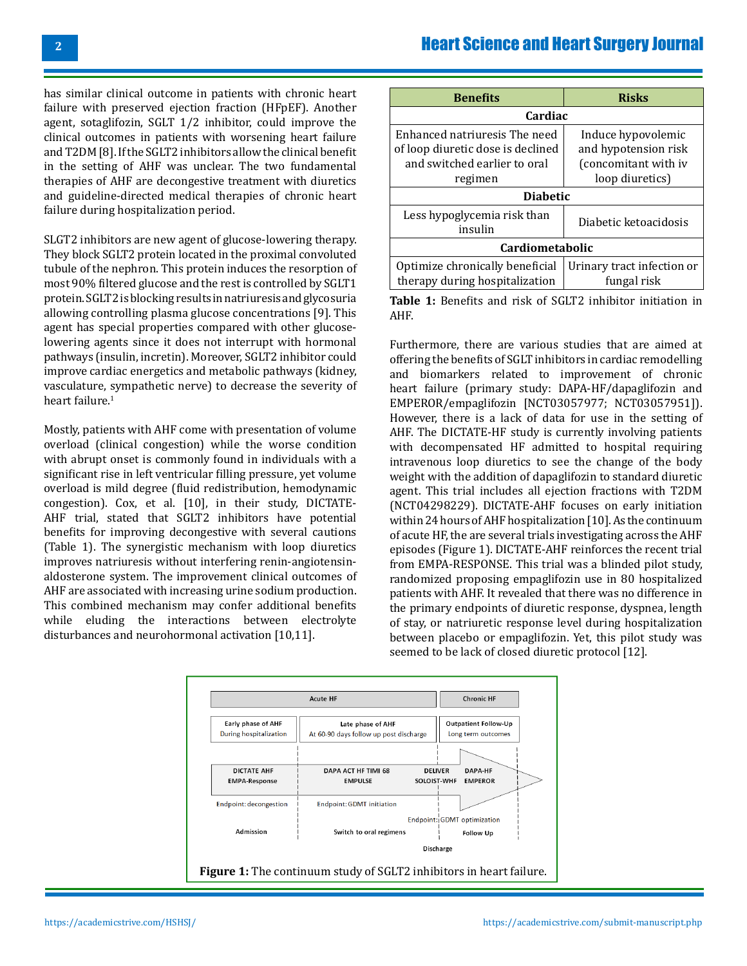# Heart Science and Heart Surgery Journal

has similar clinical outcome in patients with chronic heart failure with preserved ejection fraction (HFpEF). Another agent, sotaglifozin, SGLT 1/2 inhibitor, could improve the clinical outcomes in patients with worsening heart failure and T2DM [8]. If the SGLT2 inhibitors allow the clinical benefit in the setting of AHF was unclear. The two fundamental therapies of AHF are decongestive treatment with diuretics and guideline-directed medical therapies of chronic heart failure during hospitalization period.

SLGT2 inhibitors are new agent of glucose-lowering therapy. They block SGLT2 protein located in the proximal convoluted tubule of the nephron. This protein induces the resorption of most 90% filtered glucose and the rest is controlled by SGLT1 protein. SGLT2 is blocking results in natriuresis and glycosuria allowing controlling plasma glucose concentrations [9]. This agent has special properties compared with other glucoselowering agents since it does not interrupt with hormonal pathways (insulin, incretin). Moreover, SGLT2 inhibitor could improve cardiac energetics and metabolic pathways (kidney, vasculature, sympathetic nerve) to decrease the severity of heart failure.<sup>1</sup>

Mostly, patients with AHF come with presentation of volume overload (clinical congestion) while the worse condition with abrupt onset is commonly found in individuals with a significant rise in left ventricular filling pressure, yet volume overload is mild degree (fluid redistribution, hemodynamic congestion). Cox, et al. [10], in their study, DICTATE-AHF trial, stated that SGLT2 inhibitors have potential benefits for improving decongestive with several cautions (Table 1). The synergistic mechanism with loop diuretics improves natriuresis without interfering renin-angiotensinaldosterone system. The improvement clinical outcomes of AHF are associated with increasing urine sodium production. This combined mechanism may confer additional benefits while eluding the interactions between electrolyte disturbances and neurohormonal activation [10,11].

| <b>Benefits</b>                                                                                               | <b>Risks</b>                                                                          |
|---------------------------------------------------------------------------------------------------------------|---------------------------------------------------------------------------------------|
| Cardiac                                                                                                       |                                                                                       |
| Enhanced natriuresis The need<br>of loop diuretic dose is declined<br>and switched earlier to oral<br>regimen | Induce hypovolemic<br>and hypotension risk<br>(concomitant with iv<br>loop diuretics) |
| <b>Diabetic</b><br>Less hypoglycemia risk than                                                                |                                                                                       |
| insulin                                                                                                       | Diabetic ketoacidosis                                                                 |
| <b>Cardiometabolic</b>                                                                                        |                                                                                       |
| Optimize chronically beneficial                                                                               | Urinary tract infection or                                                            |
| therapy during hospitalization                                                                                | fungal risk                                                                           |

**Table 1:** Benefits and risk of SGLT2 inhibitor initiation in AHF.

Furthermore, there are various studies that are aimed at offering the benefits of SGLT inhibitors in cardiac remodelling and biomarkers related to improvement of chronic heart failure (primary study: DAPA-HF/dapaglifozin and EMPEROR/empaglifozin [NCT03057977; NCT03057951]). However, there is a lack of data for use in the setting of AHF. The DICTATE-HF study is currently involving patients with decompensated HF admitted to hospital requiring intravenous loop diuretics to see the change of the body weight with the addition of dapaglifozin to standard diuretic agent. This trial includes all ejection fractions with T2DM (NCT04298229). DICTATE-AHF focuses on early initiation within 24 hours of AHF hospitalization [10]. As the continuum of acute HF, the are several trials investigating across the AHF episodes (Figure 1). DICTATE-AHF reinforces the recent trial from EMPA-RESPONSE. This trial was a blinded pilot study, randomized proposing empaglifozin use in 80 hospitalized patients with AHF. It revealed that there was no difference in the primary endpoints of diuretic response, dyspnea, length of stay, or natriuretic response level during hospitalization between placebo or empaglifozin. Yet, this pilot study was seemed to be lack of closed diuretic protocol [12].

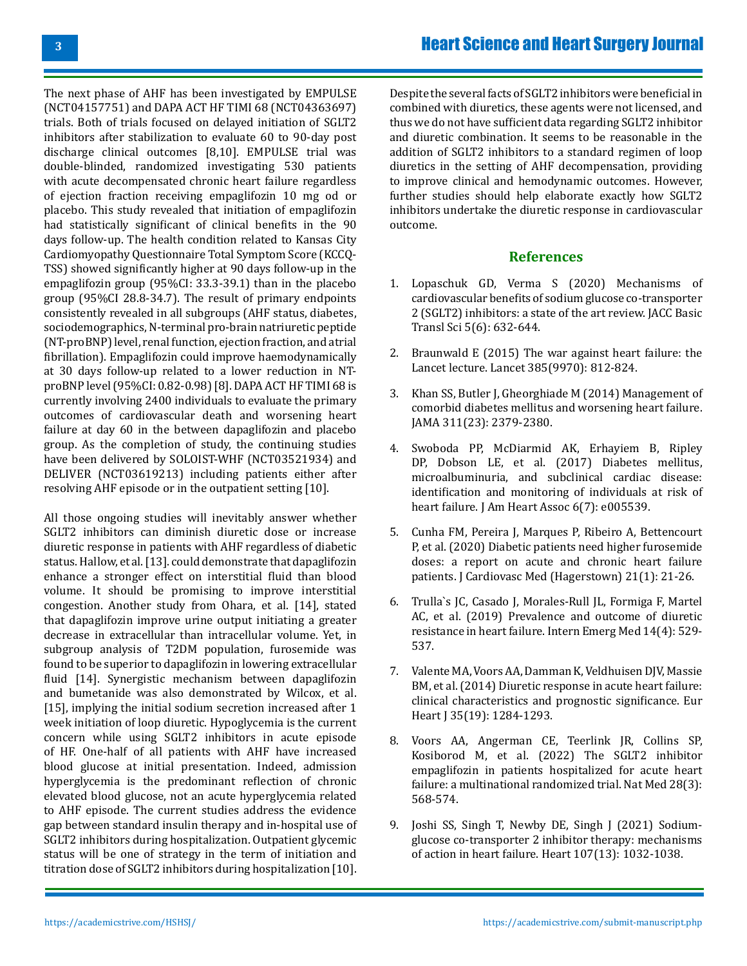The next phase of AHF has been investigated by EMPULSE (NCT04157751) and DAPA ACT HF TIMI 68 (NCT04363697) trials. Both of trials focused on delayed initiation of SGLT2 inhibitors after stabilization to evaluate 60 to 90-day post discharge clinical outcomes [8,10]. EMPULSE trial was double-blinded, randomized investigating 530 patients with acute decompensated chronic heart failure regardless of ejection fraction receiving empaglifozin 10 mg od or placebo. This study revealed that initiation of empaglifozin had statistically significant of clinical benefits in the 90 days follow-up. The health condition related to Kansas City Cardiomyopathy Questionnaire Total Symptom Score (KCCQ-TSS) showed significantly higher at 90 days follow-up in the empaglifozin group (95%CI: 33.3-39.1) than in the placebo group (95%CI 28.8-34.7). The result of primary endpoints consistently revealed in all subgroups (AHF status, diabetes, sociodemographics, N-terminal pro-brain natriuretic peptide (NT-proBNP) level, renal function, ejection fraction, and atrial fibrillation). Empaglifozin could improve haemodynamically at 30 days follow-up related to a lower reduction in NTproBNP level (95%CI: 0.82-0.98) [8]. DAPA ACT HF TIMI 68 is currently involving 2400 individuals to evaluate the primary outcomes of cardiovascular death and worsening heart failure at day 60 in the between dapaglifozin and placebo group. As the completion of study, the continuing studies have been delivered by SOLOIST-WHF (NCT03521934) and DELIVER (NCT03619213) including patients either after resolving AHF episode or in the outpatient setting [10].

All those ongoing studies will inevitably answer whether SGLT2 inhibitors can diminish diuretic dose or increase diuretic response in patients with AHF regardless of diabetic status. Hallow, et al.[13]. could demonstrate that dapaglifozin enhance a stronger effect on interstitial fluid than blood volume. It should be promising to improve interstitial congestion. Another study from Ohara, et al. [14], stated that dapaglifozin improve urine output initiating a greater decrease in extracellular than intracellular volume. Yet, in subgroup analysis of T2DM population, furosemide was found to be superior to dapaglifozin in lowering extracellular fluid [14]. Synergistic mechanism between dapaglifozin and bumetanide was also demonstrated by Wilcox, et al. [15], implying the initial sodium secretion increased after 1 week initiation of loop diuretic. Hypoglycemia is the current concern while using SGLT2 inhibitors in acute episode of HF. One-half of all patients with AHF have increased blood glucose at initial presentation. Indeed, admission hyperglycemia is the predominant reflection of chronic elevated blood glucose, not an acute hyperglycemia related to AHF episode. The current studies address the evidence gap between standard insulin therapy and in-hospital use of SGLT2 inhibitors during hospitalization. Outpatient glycemic status will be one of strategy in the term of initiation and titration dose of SGLT2 inhibitors during hospitalization [10].

Despite the several facts of SGLT2 inhibitors were beneficial in combined with diuretics, these agents were not licensed, and thus we do not have sufficient data regarding SGLT2 inhibitor and diuretic combination. It seems to be reasonable in the addition of SGLT2 inhibitors to a standard regimen of loop diuretics in the setting of AHF decompensation, providing to improve clinical and hemodynamic outcomes. However, further studies should help elaborate exactly how SGLT2 inhibitors undertake the diuretic response in cardiovascular outcome.

#### **References**

- 1. [Lopaschuk GD, Verma S \(2020\) Mechanisms of](https://pubmed.ncbi.nlm.nih.gov/32613148/)  [cardiovascular benefits of sodium glucose co-transporter](https://pubmed.ncbi.nlm.nih.gov/32613148/) [2 \(SGLT2\) inhibitors: a state of the art review. JACC Basic](https://pubmed.ncbi.nlm.nih.gov/32613148/) [Transl Sci 5\(6\): 632-644.](https://pubmed.ncbi.nlm.nih.gov/32613148/)
- 2. [Braunwald E \(2015\) The war against heart failure: the](https://pubmed.ncbi.nlm.nih.gov/25467564/)  [Lancet lecture. Lancet 385\(9970\): 812-824.](https://pubmed.ncbi.nlm.nih.gov/25467564/)
- 3. [Khan SS, Butler J, Gheorghiade M \(2014\) Management of](https://pubmed.ncbi.nlm.nih.gov/24938559/) [comorbid diabetes mellitus and worsening heart failure.](https://pubmed.ncbi.nlm.nih.gov/24938559/)  [JAMA 311\(23\): 2379-2380.](https://pubmed.ncbi.nlm.nih.gov/24938559/)
- 4. [Swoboda PP, McDiarmid AK, Erhayiem B, Ripley](https://pubmed.ncbi.nlm.nih.gov/28716801/)  [DP, Dobson LE, et al. \(2017\) Diabetes mellitus,](https://pubmed.ncbi.nlm.nih.gov/28716801/)  [microalbuminuria, and subclinical cardiac disease:](https://pubmed.ncbi.nlm.nih.gov/28716801/) [identification and monitoring of individuals at risk of](https://pubmed.ncbi.nlm.nih.gov/28716801/) [heart failure. J Am Heart Assoc 6\(7\): e005539.](https://pubmed.ncbi.nlm.nih.gov/28716801/)
- 5. [Cunha FM, Pereira J, Marques P, Ribeiro A, Bettencourt](https://pubmed.ncbi.nlm.nih.gov/31714331/) [P, et al. \(2020\) Diabetic patients need higher furosemide](https://pubmed.ncbi.nlm.nih.gov/31714331/) [doses: a report on acute and chronic heart failure](https://pubmed.ncbi.nlm.nih.gov/31714331/) [patients. J Cardiovasc Med \(Hagerstown\) 21\(1\): 21-26.](https://pubmed.ncbi.nlm.nih.gov/31714331/)
- 6. [Trulla`s JC, Casado J, Morales-Rull JL, Formiga F, Martel](https://pubmed.ncbi.nlm.nih.gov/30610440/)  [AC, et al. \(2019\) Prevalence and outcome of diuretic](https://pubmed.ncbi.nlm.nih.gov/30610440/) [resistance in heart failure. Intern Emerg Med 14\(4\): 529-](https://pubmed.ncbi.nlm.nih.gov/30610440/) [537.](https://pubmed.ncbi.nlm.nih.gov/30610440/)
- 7. [Valente MA, Voors AA, Damman K, Veldhuisen DJV, Massie](https://pubmed.ncbi.nlm.nih.gov/24585267/)  [BM, et al. \(2014\) Diuretic response in acute heart failure:](https://pubmed.ncbi.nlm.nih.gov/24585267/) [clinical characteristics and prognostic significance. Eur](https://pubmed.ncbi.nlm.nih.gov/24585267/) [Heart J 35\(19\): 1284-1293.](https://pubmed.ncbi.nlm.nih.gov/24585267/)
- 8. [Voors AA, Angerman CE, Teerlink JR, Collins SP,](https://pubmed.ncbi.nlm.nih.gov/35228754/)  [Kosiborod M, et al. \(2022\) The SGLT2 inhibitor](https://pubmed.ncbi.nlm.nih.gov/35228754/) [empaglifozin in patients hospitalized for acute heart](https://pubmed.ncbi.nlm.nih.gov/35228754/) [failure: a multinational randomized trial. Nat Med 28\(3\):](https://pubmed.ncbi.nlm.nih.gov/35228754/) [568-574.](https://pubmed.ncbi.nlm.nih.gov/35228754/)
- 9. [Joshi SS, Singh T, Newby DE, Singh J \(2021\) Sodium](https://pubmed.ncbi.nlm.nih.gov/33637556/)[glucose co-transporter 2 inhibitor therapy: mechanisms](https://pubmed.ncbi.nlm.nih.gov/33637556/) [of action in heart failure. Heart 107\(13\): 1032-1038.](https://pubmed.ncbi.nlm.nih.gov/33637556/)